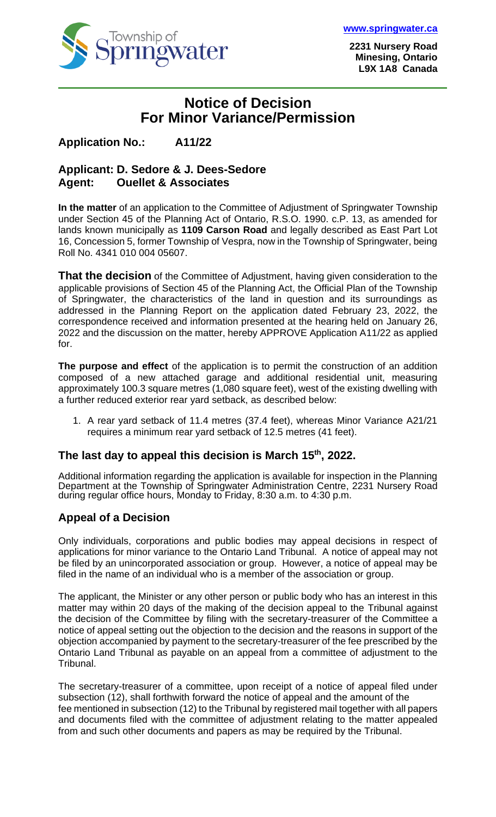

**[www.springwater.ca](http://www.springwater.ca/)**

**2231 Nursery Road Minesing, Ontario L9X 1A8 Canada**

# **Notice of Decision For Minor Variance/Permission**

## **Application No.: A11/22**

#### **Applicant: D. Sedore & J. Dees-Sedore Agent: Ouellet & Associates**

**In the matter** of an application to the Committee of Adjustment of Springwater Township under Section 45 of the Planning Act of Ontario, R.S.O. 1990. c.P. 13, as amended for lands known municipally as **1109 Carson Road** and legally described as East Part Lot 16, Concession 5, former Township of Vespra, now in the Township of Springwater, being Roll No. 4341 010 004 05607.

**That the decision** of the Committee of Adjustment, having given consideration to the applicable provisions of Section 45 of the Planning Act, the Official Plan of the Township of Springwater, the characteristics of the land in question and its surroundings as addressed in the Planning Report on the application dated February 23, 2022, the correspondence received and information presented at the hearing held on January 26, 2022 and the discussion on the matter, hereby APPROVE Application A11/22 as applied for.

**The purpose and effect** of the application is to permit the construction of an addition composed of a new attached garage and additional residential unit, measuring approximately 100.3 square metres (1,080 square feet), west of the existing dwelling with a further reduced exterior rear yard setback, as described below:

1. A rear yard setback of 11.4 metres (37.4 feet), whereas Minor Variance A21/21 requires a minimum rear yard setback of 12.5 metres (41 feet).

### **The last day to appeal this decision is March 15 th, 2022.**

Additional information regarding the application is available for inspection in the Planning Department at the Township of Springwater Administration Centre, 2231 Nursery Road during regular office hours, Monday to Friday, 8:30 a.m. to 4:30 p.m.

### **Appeal of a Decision**

Only individuals, corporations and public bodies may appeal decisions in respect of applications for minor variance to the Ontario Land Tribunal. A notice of appeal may not be filed by an unincorporated association or group. However, a notice of appeal may be filed in the name of an individual who is a member of the association or group.

The applicant, the Minister or any other person or public body who has an interest in this matter may within 20 days of the making of the decision appeal to the Tribunal against the decision of the Committee by filing with the secretary-treasurer of the Committee a notice of appeal setting out the objection to the decision and the reasons in support of the objection accompanied by payment to the secretary-treasurer of the fee prescribed by the Ontario Land Tribunal as payable on an appeal from a committee of adjustment to the Tribunal.

The secretary-treasurer of a committee, upon receipt of a notice of appeal filed under subsection (12), shall forthwith forward the notice of appeal and the amount of the fee mentioned in subsection (12) to the Tribunal by registered mail together with all papers and documents filed with the committee of adjustment relating to the matter appealed from and such other documents and papers as may be required by the Tribunal.